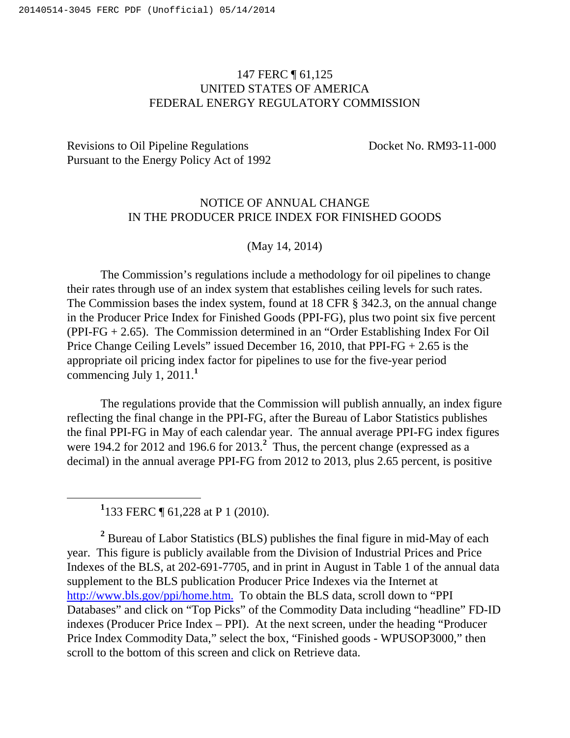## 147 FERC ¶ 61,125 UNITED STATES OF AMERICA FEDERAL ENERGY REGULATORY COMMISSION

## Revisions to Oil Pipeline Regulations Docket No. RM93-11-000 Pursuant to the Energy Policy Act of 1992

## NOTICE OF ANNUAL CHANGE IN THE PRODUCER PRICE INDEX FOR FINISHED GOODS

## (May 14, 2014)

The Commission's regulations include a methodology for oil pipelines to change their rates through use of an index system that establishes ceiling levels for such rates. The Commission bases the index system, found at 18 CFR § 342.3, on the annual change in the Producer Price Index for Finished Goods (PPI-FG), plus two point six five percent (PPI-FG + 2.65). The Commission determined in an "Order Establishing Index For Oil Price Change Ceiling Levels" issued December 16, 2010, that PPI-FG + 2.65 is the appropriate oil pricing index factor for pipelines to use for the five-year period commencing July 1, 2011.**<sup>1</sup>**

The regulations provide that the Commission will publish annually, an index figure reflecting the final change in the PPI-FG, after the Bureau of Labor Statistics publishes the final PPI-FG in May of each calendar year. The annual average PPI-FG index figures were 194.2 for 2012 and 196.6 for 2013.<sup>2</sup> Thus, the percent change (expressed as a decimal) in the annual average PPI-FG from 2012 to 2013, plus 2.65 percent, is positive

<sup>1</sup> 133 FERC ¶ 61,228 at P 1 (2010).

 $\overline{a}$ 

<sup>2</sup> Bureau of Labor Statistics (BLS) publishes the final figure in mid-May of each year. This figure is publicly available from the Division of Industrial Prices and Price Indexes of the BLS, at 202-691-7705, and in print in August in Table 1 of the annual data supplement to the BLS publication Producer Price Indexes via the Internet at http://www.bls.gov/ppi/home.htm. To obtain the BLS data, scroll down to "PPI Databases" and click on "Top Picks" of the Commodity Data including "headline" FD-ID indexes (Producer Price Index – PPI). At the next screen, under the heading "Producer Price Index Commodity Data," select the box, "Finished goods - WPUSOP3000," then scroll to the bottom of this screen and click on Retrieve data.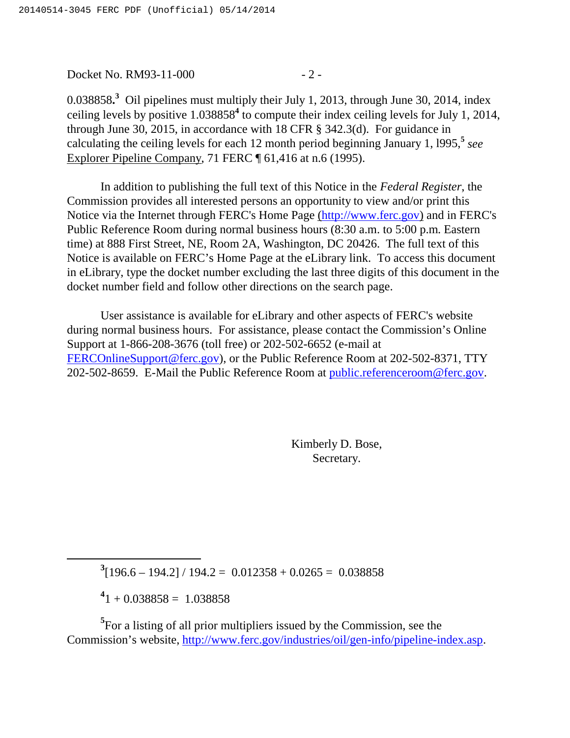Docket No. RM93-11-000 - 2 -

0.038858<sup>3</sup> Oil pipelines must multiply their July 1, 2013, through June 30, 2014, index ceiling levels by positive 1.038858**<sup>4</sup>** to compute their index ceiling levels for July 1, 2014, through June 30, 2015, in accordance with 18 CFR § 342.3(d). For guidance in calculating the ceiling levels for each 12 month period beginning January 1, l995,**<sup>5</sup>** *see* Explorer Pipeline Company, 71 FERC ¶ 61,416 at n.6 (1995).

In addition to publishing the full text of this Notice in the *Federal Register*, the Commission provides all interested persons an opportunity to view and/or print this Notice via the Internet through FERC's Home Page (http://www.ferc.gov) and in FERC's Public Reference Room during normal business hours (8:30 a.m. to 5:00 p.m. Eastern time) at 888 First Street, NE, Room 2A, Washington, DC 20426. The full text of this Notice is available on FERC's Home Page at the eLibrary link. To access this document in eLibrary, type the docket number excluding the last three digits of this document in the docket number field and follow other directions on the search page.

User assistance is available for eLibrary and other aspects of FERC's website during normal business hours. For assistance, please contact the Commission's Online Support at 1-866-208-3676 (toll free) or 202-502-6652 (e-mail at FERCOnlineSupport@ferc.gov), or the Public Reference Room at 202-502-8371, TTY 202-502-8659. E-Mail the Public Reference Room at public.referenceroom@ferc.gov.

> Kimberly D. Bose, Secretary.

 $3[196.6 - 194.2] / 194.2 = 0.012358 + 0.0265 = 0.038858$ 

 $^{4}$ 1 + 0.038858 = 1.038858

 $\overline{a}$ 

<sup>5</sup>For a listing of all prior multipliers issued by the Commission, see the Commission's website, http://www.ferc.gov/industries/oil/gen-info/pipeline-index.asp.